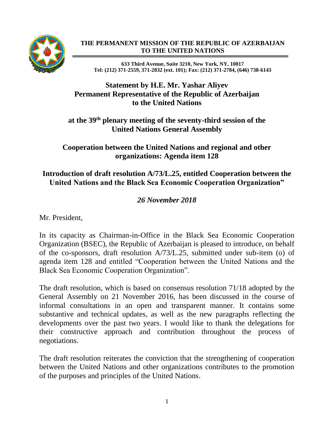

#### **THE PERMANENT MISSION OF THE REPUBLIC OF AZERBAIJAN TO THE UNITED NATIONS**

**633 Third Avenue, Suite 3210, New York, NY, 10017 Tel: (212) 371-2559, 371-2832 (ext. 101); Fax: (212) 371-2784, (646) 738-6143**

# **Statement by H.E. Mr. Yashar Aliyev Permanent Representative of the Republic of Azerbaijan to the United Nations**

## **at the 39th plenary meeting of the seventy-third session of the United Nations General Assembly**

**Cooperation between the United Nations and regional and other organizations: Agenda item 128**

# **Introduction of draft resolution A/73/L.25, entitled Cooperation between the United Nations and the Black Sea Economic Cooperation Organization"**

# *26 November 2018*

Mr. President,

In its capacity as Chairman-in-Office in the Black Sea Economic Cooperation Organization (BSEC), the Republic of Azerbaijan is pleased to introduce, on behalf of the co-sponsors, draft resolution A/73/L.25, submitted under sub-item (o) of agenda item 128 and entitled "Cooperation between the United Nations and the Black Sea Economic Cooperation Organization".

The draft resolution, which is based on consensus resolution 71/18 adopted by the General Assembly on 21 November 2016, has been discussed in the course of informal consultations in an open and transparent manner. It contains some substantive and technical updates, as well as the new paragraphs reflecting the developments over the past two years. I would like to thank the delegations for their constructive approach and contribution throughout the process of negotiations.

The draft resolution reiterates the conviction that the strengthening of cooperation between the United Nations and other organizations contributes to the promotion of the purposes and principles of the United Nations.